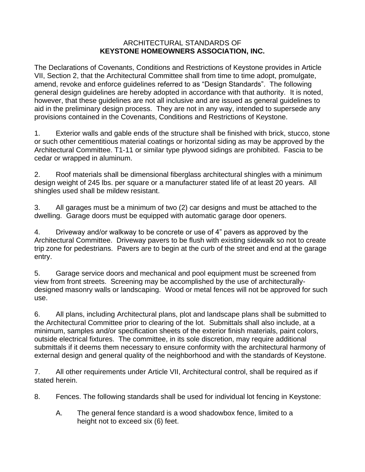## ARCHITECTURAL STANDARDS OF **KEYSTONE HOMEOWNERS ASSOCIATION, INC.**

The Declarations of Covenants, Conditions and Restrictions of Keystone provides in Article VII, Section 2, that the Architectural Committee shall from time to time adopt, promulgate, amend, revoke and enforce guidelines referred to as "Design Standards". The following general design guidelines are hereby adopted in accordance with that authority. It is noted, however, that these guidelines are not all inclusive and are issued as general guidelines to aid in the preliminary design process. They are not in any way, intended to supersede any provisions contained in the Covenants, Conditions and Restrictions of Keystone.

1. Exterior walls and gable ends of the structure shall be finished with brick, stucco, stone or such other cementitious material coatings or horizontal siding as may be approved by the Architectural Committee. T1-11 or similar type plywood sidings are prohibited. Fascia to be cedar or wrapped in aluminum.

2. Roof materials shall be dimensional fiberglass architectural shingles with a minimum design weight of 245 lbs. per square or a manufacturer stated life of at least 20 years. All shingles used shall be mildew resistant.

3. All garages must be a minimum of two (2) car designs and must be attached to the dwelling. Garage doors must be equipped with automatic garage door openers.

4. Driveway and/or walkway to be concrete or use of 4" pavers as approved by the Architectural Committee. Driveway pavers to be flush with existing sidewalk so not to create trip zone for pedestrians. Pavers are to begin at the curb of the street and end at the garage entry.

5. Garage service doors and mechanical and pool equipment must be screened from view from front streets. Screening may be accomplished by the use of architecturallydesigned masonry walls or landscaping. Wood or metal fences will not be approved for such use.

6. All plans, including Architectural plans, plot and landscape plans shall be submitted to the Architectural Committee prior to clearing of the lot. Submittals shall also include, at a minimum, samples and/or specification sheets of the exterior finish materials, paint colors, outside electrical fixtures. The committee, in its sole discretion, may require additional submittals if it deems them necessary to ensure conformity with the architectural harmony of external design and general quality of the neighborhood and with the standards of Keystone.

7. All other requirements under Article VII, Architectural control, shall be required as if stated herein.

8. Fences. The following standards shall be used for individual lot fencing in Keystone:

A. The general fence standard is a wood shadowbox fence, limited to a height not to exceed six (6) feet.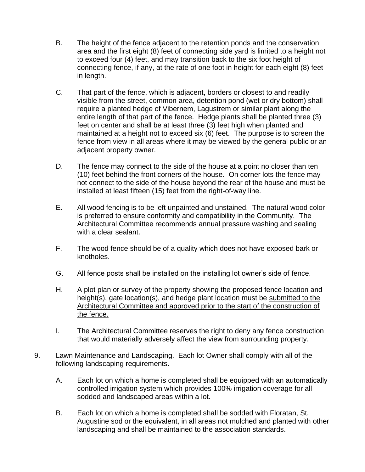- B. The height of the fence adjacent to the retention ponds and the conservation area and the first eight (8) feet of connecting side yard is limited to a height not to exceed four (4) feet, and may transition back to the six foot height of connecting fence, if any, at the rate of one foot in height for each eight (8) feet in length.
- C. That part of the fence, which is adjacent, borders or closest to and readily visible from the street, common area, detention pond (wet or dry bottom) shall require a planted hedge of Vibernem, Lagustrem or similar plant along the entire length of that part of the fence. Hedge plants shall be planted three (3) feet on center and shall be at least three (3) feet high when planted and maintained at a height not to exceed six (6) feet. The purpose is to screen the fence from view in all areas where it may be viewed by the general public or an adjacent property owner.
- D. The fence may connect to the side of the house at a point no closer than ten (10) feet behind the front corners of the house. On corner lots the fence may not connect to the side of the house beyond the rear of the house and must be installed at least fifteen (15) feet from the right-of-way line.
- E. All wood fencing is to be left unpainted and unstained. The natural wood color is preferred to ensure conformity and compatibility in the Community. The Architectural Committee recommends annual pressure washing and sealing with a clear sealant.
- F. The wood fence should be of a quality which does not have exposed bark or knotholes.
- G. All fence posts shall be installed on the installing lot owner's side of fence.
- H. A plot plan or survey of the property showing the proposed fence location and height(s), gate location(s), and hedge plant location must be submitted to the Architectural Committee and approved prior to the start of the construction of the fence.
- I. The Architectural Committee reserves the right to deny any fence construction that would materially adversely affect the view from surrounding property.
- 9. Lawn Maintenance and Landscaping. Each lot Owner shall comply with all of the following landscaping requirements.
	- A. Each lot on which a home is completed shall be equipped with an automatically controlled irrigation system which provides 100% irrigation coverage for all sodded and landscaped areas within a lot.
	- B. Each lot on which a home is completed shall be sodded with Floratan, St. Augustine sod or the equivalent, in all areas not mulched and planted with other landscaping and shall be maintained to the association standards.